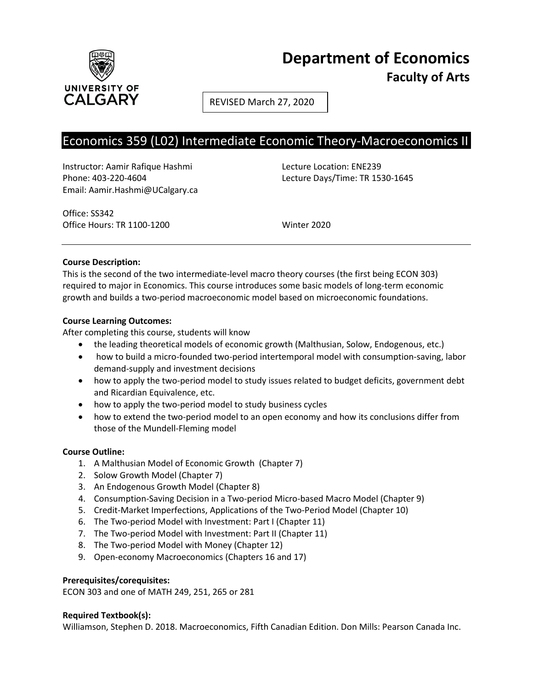

# **Department of Economics Faculty of Arts**

REVISED March 27, 2020

## Economics 359 (L02) Intermediate Economic Theory-Macroeconomics II

Instructor: Aamir Rafique Hashmi Lecture Location: ENE239 Phone: 403-220-4604 Lecture Days/Time: TR 1530-1645 Email: Aamir.Hashmi@UCalgary.ca

Office: SS342 Office Hours: TR 1100-1200 Winter 2020

## **Course Description:**

This is the second of the two intermediate-level macro theory courses (the first being ECON 303) required to major in Economics. This course introduces some basic models of long-term economic growth and builds a two-period macroeconomic model based on microeconomic foundations.

## **Course Learning Outcomes:**

After completing this course, students will know

- the leading theoretical models of economic growth (Malthusian, Solow, Endogenous, etc.)
- how to build a micro-founded two-period intertemporal model with consumption-saving, labor demand-supply and investment decisions
- how to apply the two-period model to study issues related to budget deficits, government debt and Ricardian Equivalence, etc.
- how to apply the two-period model to study business cycles
- how to extend the two-period model to an open economy and how its conclusions differ from those of the Mundell-Fleming model

## **Course Outline:**

- 1. A Malthusian Model of Economic Growth (Chapter 7)
- 2. Solow Growth Model (Chapter 7)
- 3. An Endogenous Growth Model (Chapter 8)
- 4. Consumption-Saving Decision in a Two-period Micro-based Macro Model (Chapter 9)
- 5. Credit-Market Imperfections, Applications of the Two-Period Model (Chapter 10)
- 6. The Two-period Model with Investment: Part I (Chapter 11)
- 7. The Two-period Model with Investment: Part II (Chapter 11)
- 8. The Two-period Model with Money (Chapter 12)
- 9. Open-economy Macroeconomics (Chapters 16 and 17)

## **Prerequisites/corequisites:**

ECON 303 and one of MATH 249, 251, 265 or 281

## **Required Textbook(s):**

Williamson, Stephen D. 2018. Macroeconomics, Fifth Canadian Edition. Don Mills: Pearson Canada Inc.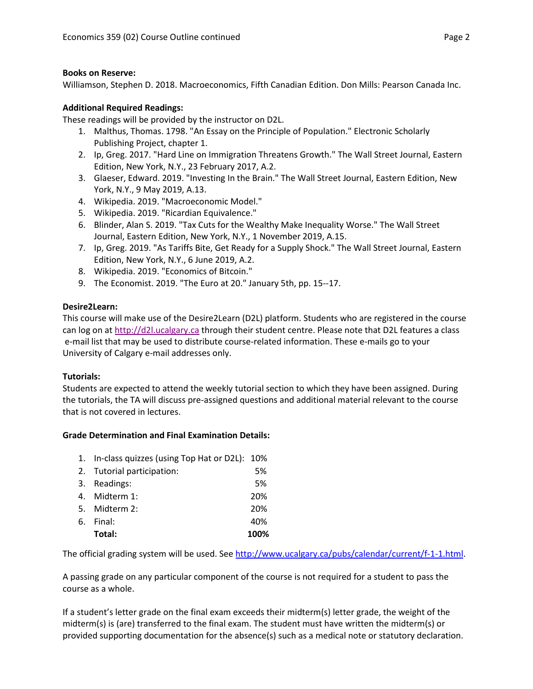## **Books on Reserve:**

Williamson, Stephen D. 2018. Macroeconomics, Fifth Canadian Edition. Don Mills: Pearson Canada Inc.

## **Additional Required Readings:**

These readings will be provided by the instructor on D2L.

- 1. Malthus, Thomas. 1798. "An Essay on the Principle of Population." Electronic Scholarly Publishing Project, chapter 1.
- 2. Ip, Greg. 2017. "Hard Line on Immigration Threatens Growth." The Wall Street Journal, Eastern Edition, New York, N.Y., 23 February 2017, A.2.
- 3. Glaeser, Edward. 2019. "Investing In the Brain." The Wall Street Journal, Eastern Edition, New York, N.Y., 9 May 2019, A.13.
- 4. Wikipedia. 2019. "Macroeconomic Model."
- 5. Wikipedia. 2019. "Ricardian Equivalence."
- 6. Blinder, Alan S. 2019. "Tax Cuts for the Wealthy Make Inequality Worse." The Wall Street Journal, Eastern Edition, New York, N.Y., 1 November 2019, A.15.
- 7. Ip, Greg. 2019. "As Tariffs Bite, Get Ready for a Supply Shock." The Wall Street Journal, Eastern Edition, New York, N.Y., 6 June 2019, A.2.
- 8. Wikipedia. 2019. "Economics of Bitcoin."
- 9. The Economist. 2019. "The Euro at 20." January 5th, pp. 15--17.

## **Desire2Learn:**

This course will make use of the Desire2Learn (D2L) platform. Students who are registered in the course can log on a[t http://d2l.ucalgary.ca](http://d2l.ucalgary.ca/) through their student centre. Please note that D2L features a class e-mail list that may be used to distribute course-related information. These e-mails go to your University of Calgary e-mail addresses only.

## **Tutorials:**

Students are expected to attend the weekly tutorial section to which they have been assigned. During the tutorials, the TA will discuss pre-assigned questions and additional material relevant to the course that is not covered in lectures.

## **Grade Determination and Final Examination Details:**

| 1. In-class quizzes (using Top Hat or D2L): 10% |      |
|-------------------------------------------------|------|
| 2. Tutorial participation:                      | 5%   |
| 3. Readings:                                    | 5%   |
| 4. Midterm 1:                                   | 20%  |
| 5. Midterm 2:                                   | 20%  |
| 6. Final:                                       | 40%  |
| Total:                                          | 100% |

The official grading system will be used. Se[e http://www.ucalgary.ca/pubs/calendar/current/f-1-1.html.](http://www.ucalgary.ca/pubs/calendar/current/f-1-1.html)

A passing grade on any particular component of the course is not required for a student to pass the course as a whole.

If a student's letter grade on the final exam exceeds their midterm(s) letter grade, the weight of the midterm(s) is (are) transferred to the final exam. The student must have written the midterm(s) or provided supporting documentation for the absence(s) such as a medical note or statutory declaration.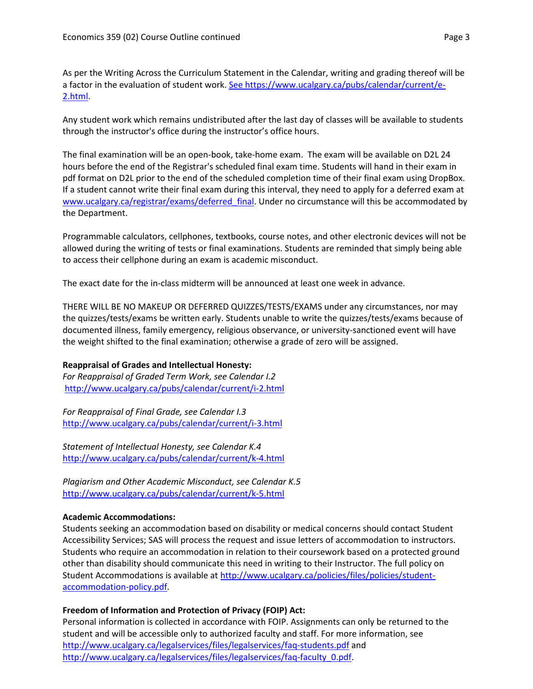As per the Writing Across the Curriculum Statement in the Calendar, writing and grading thereof will be a factor in the evaluation of student work. [See https://www.ucalgary.ca/pubs/calendar/current/e-](https://www.ucalgary.ca/pubs/calendar/current/e-2.html)[2.html.](https://www.ucalgary.ca/pubs/calendar/current/e-2.html)

Any student work which remains undistributed after the last day of classes will be available to students through the instructor's office during the instructor's office hours.

The final examination will be an open-book, take-home exam. The exam will be available on D2L 24 hours before the end of the Registrar's scheduled final exam time. Students will hand in their exam in pdf format on D2L prior to the end of the scheduled completion time of their final exam using DropBox. If a student cannot write their final exam during this interval, they need to apply for a deferred exam at [www.ucalgary.ca/registrar/exams/deferred\\_final.](http://www.ucalgary.ca/registrar/exams/deferred_final) Under no circumstance will this be accommodated by the Department.

Programmable calculators, cellphones, textbooks, course notes, and other electronic devices will not be allowed during the writing of tests or final examinations. Students are reminded that simply being able to access their cellphone during an exam is academic misconduct.

The exact date for the in-class midterm will be announced at least one week in advance.

THERE WILL BE NO MAKEUP OR DEFERRED QUIZZES/TESTS/EXAMS under any circumstances, nor may the quizzes/tests/exams be written early. Students unable to write the quizzes/tests/exams because of documented illness, family emergency, religious observance, or university-sanctioned event will have the weight shifted to the final examination; otherwise a grade of zero will be assigned.

#### **Reappraisal of Grades and Intellectual Honesty:**

*For Reappraisal of Graded Term Work, see Calendar I.2* <http://www.ucalgary.ca/pubs/calendar/current/i-2.html>

*For Reappraisal of Final Grade, see Calendar I.3* <http://www.ucalgary.ca/pubs/calendar/current/i-3.html>

*Statement of Intellectual Honesty, see Calendar K.4* <http://www.ucalgary.ca/pubs/calendar/current/k-4.html>

*Plagiarism and Other Academic Misconduct, see Calendar K.5* <http://www.ucalgary.ca/pubs/calendar/current/k-5.html>

#### **Academic Accommodations:**

Students seeking an accommodation based on disability or medical concerns should contact Student Accessibility Services; SAS will process the request and issue letters of accommodation to instructors. Students who require an accommodation in relation to their coursework based on a protected ground other than disability should communicate this need in writing to their Instructor. The full policy on Student Accommodations is available at [http://www.ucalgary.ca/policies/files/policies/student](http://www.ucalgary.ca/policies/files/policies/student-accommodation-policy.pdf)[accommodation-policy.pdf.](http://www.ucalgary.ca/policies/files/policies/student-accommodation-policy.pdf)

## **Freedom of Information and Protection of Privacy (FOIP) Act:**

Personal information is collected in accordance with FOIP. Assignments can only be returned to the student and will be accessible only to authorized faculty and staff. For more information, see <http://www.ucalgary.ca/legalservices/files/legalservices/faq-students.pdf> and [http://www.ucalgary.ca/legalservices/files/legalservices/faq-faculty\\_0.pdf.](http://www.ucalgary.ca/legalservices/files/legalservices/faq-faculty_0.pdf)